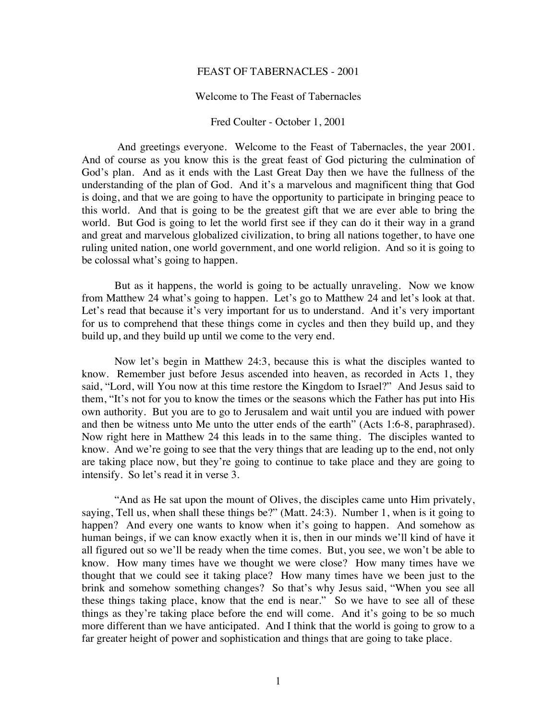## FEAST OF TABERNACLES - 2001

## Welcome to The Feast of Tabernacles

## Fred Coulter - October 1, 2001

 And greetings everyone. Welcome to the Feast of Tabernacles, the year 2001. And of course as you know this is the great feast of God picturing the culmination of God's plan. And as it ends with the Last Great Day then we have the fullness of the understanding of the plan of God. And it's a marvelous and magnificent thing that God is doing, and that we are going to have the opportunity to participate in bringing peace to this world. And that is going to be the greatest gift that we are ever able to bring the world. But God is going to let the world first see if they can do it their way in a grand and great and marvelous globalized civilization, to bring all nations together, to have one ruling united nation, one world government, and one world religion. And so it is going to be colossal what's going to happen.

But as it happens, the world is going to be actually unraveling. Now we know from Matthew 24 what's going to happen. Let's go to Matthew 24 and let's look at that. Let's read that because it's very important for us to understand. And it's very important for us to comprehend that these things come in cycles and then they build up, and they build up, and they build up until we come to the very end.

Now let's begin in Matthew 24:3, because this is what the disciples wanted to know. Remember just before Jesus ascended into heaven, as recorded in Acts 1, they said, "Lord, will You now at this time restore the Kingdom to Israel?" And Jesus said to them, "It's not for you to know the times or the seasons which the Father has put into His own authority. But you are to go to Jerusalem and wait until you are indued with power and then be witness unto Me unto the utter ends of the earth" (Acts 1:6-8, paraphrased). Now right here in Matthew 24 this leads in to the same thing. The disciples wanted to know. And we're going to see that the very things that are leading up to the end, not only are taking place now, but they're going to continue to take place and they are going to intensify. So let's read it in verse 3.

"And as He sat upon the mount of Olives, the disciples came unto Him privately, saying, Tell us, when shall these things be?" (Matt. 24:3). Number 1, when is it going to happen? And every one wants to know when it's going to happen. And somehow as human beings, if we can know exactly when it is, then in our minds we'll kind of have it all figured out so we'll be ready when the time comes. But, you see, we won't be able to know. How many times have we thought we were close? How many times have we thought that we could see it taking place? How many times have we been just to the brink and somehow something changes? So that's why Jesus said, "When you see all these things taking place, know that the end is near." So we have to see all of these things as they're taking place before the end will come. And it's going to be so much more different than we have anticipated. And I think that the world is going to grow to a far greater height of power and sophistication and things that are going to take place.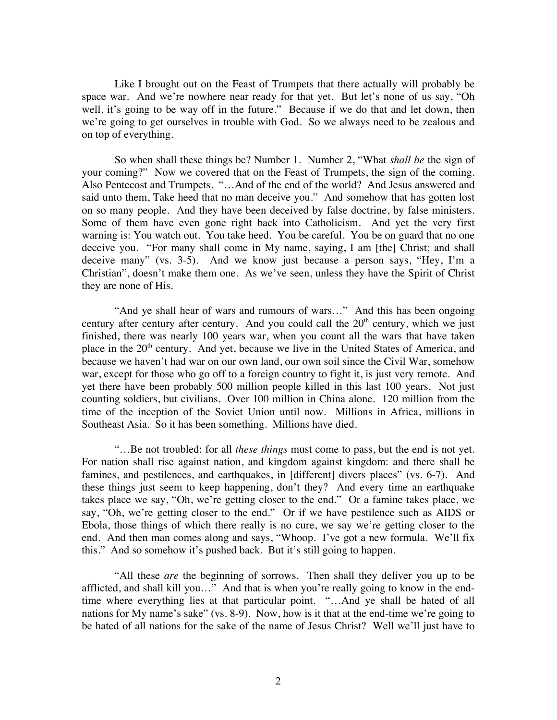Like I brought out on the Feast of Trumpets that there actually will probably be space war. And we're nowhere near ready for that yet. But let's none of us say, "Oh well, it's going to be way off in the future." Because if we do that and let down, then we're going to get ourselves in trouble with God. So we always need to be zealous and on top of everything.

So when shall these things be? Number 1. Number 2, "What *shall be* the sign of your coming?" Now we covered that on the Feast of Trumpets, the sign of the coming. Also Pentecost and Trumpets. "…And of the end of the world? And Jesus answered and said unto them, Take heed that no man deceive you." And somehow that has gotten lost on so many people. And they have been deceived by false doctrine, by false ministers. Some of them have even gone right back into Catholicism. And yet the very first warning is: You watch out. You take heed. You be careful. You be on guard that no one deceive you. "For many shall come in My name, saying, I am [the] Christ; and shall deceive many" (vs. 3-5). And we know just because a person says, "Hey, I'm a Christian", doesn't make them one. As we've seen, unless they have the Spirit of Christ they are none of His.

"And ye shall hear of wars and rumours of wars..." And this has been ongoing century after century after century. And you could call the  $20<sup>th</sup>$  century, which we just finished, there was nearly 100 years war, when you count all the wars that have taken place in the 20<sup>th</sup> century. And yet, because we live in the United States of America, and because we haven't had war on our own land, our own soil since the Civil War, somehow war, except for those who go off to a foreign country to fight it, is just very remote. And yet there have been probably 500 million people killed in this last 100 years. Not just counting soldiers, but civilians. Over 100 million in China alone. 120 million from the time of the inception of the Soviet Union until now. Millions in Africa, millions in Southeast Asia. So it has been something. Millions have died.

"…Be not troubled: for all *these things* must come to pass, but the end is not yet. For nation shall rise against nation, and kingdom against kingdom: and there shall be famines, and pestilences, and earthquakes, in [different] divers places" (vs. 6-7). And these things just seem to keep happening, don't they? And every time an earthquake takes place we say, "Oh, we're getting closer to the end." Or a famine takes place, we say, "Oh, we're getting closer to the end." Or if we have pestilence such as AIDS or Ebola, those things of which there really is no cure, we say we're getting closer to the end. And then man comes along and says, "Whoop. I've got a new formula. We'll fix this." And so somehow it's pushed back. But it's still going to happen.

"All these *are* the beginning of sorrows. Then shall they deliver you up to be afflicted, and shall kill you…" And that is when you're really going to know in the endtime where everything lies at that particular point. "…And ye shall be hated of all nations for My name's sake" (vs. 8-9). Now, how is it that at the end-time we're going to be hated of all nations for the sake of the name of Jesus Christ? Well we'll just have to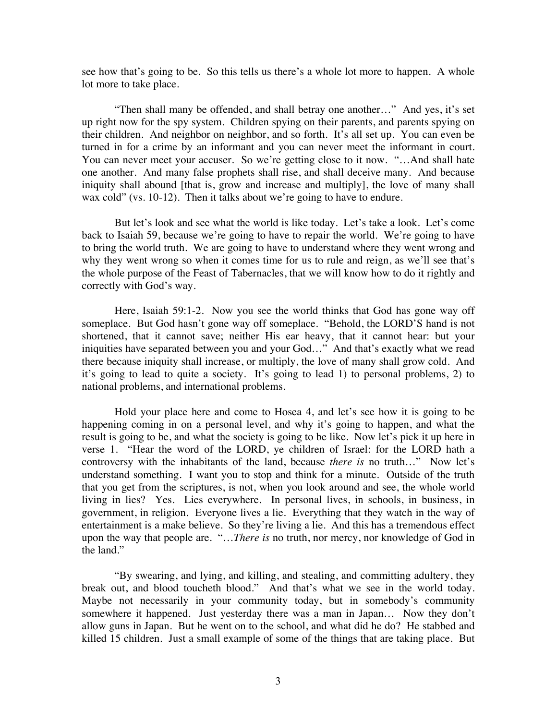see how that's going to be. So this tells us there's a whole lot more to happen. A whole lot more to take place.

"Then shall many be offended, and shall betray one another…" And yes, it's set up right now for the spy system. Children spying on their parents, and parents spying on their children. And neighbor on neighbor, and so forth. It's all set up. You can even be turned in for a crime by an informant and you can never meet the informant in court. You can never meet your accuser. So we're getting close to it now. "…And shall hate one another. And many false prophets shall rise, and shall deceive many. And because iniquity shall abound [that is, grow and increase and multiply], the love of many shall wax cold" (vs. 10-12). Then it talks about we're going to have to endure.

But let's look and see what the world is like today. Let's take a look. Let's come back to Isaiah 59, because we're going to have to repair the world. We're going to have to bring the world truth. We are going to have to understand where they went wrong and why they went wrong so when it comes time for us to rule and reign, as we'll see that's the whole purpose of the Feast of Tabernacles, that we will know how to do it rightly and correctly with God's way.

Here, Isaiah 59:1-2. Now you see the world thinks that God has gone way off someplace. But God hasn't gone way off someplace. "Behold, the LORD'S hand is not shortened, that it cannot save; neither His ear heavy, that it cannot hear: but your iniquities have separated between you and your God…" And that's exactly what we read there because iniquity shall increase, or multiply, the love of many shall grow cold. And it's going to lead to quite a society. It's going to lead 1) to personal problems, 2) to national problems, and international problems.

Hold your place here and come to Hosea 4, and let's see how it is going to be happening coming in on a personal level, and why it's going to happen, and what the result is going to be, and what the society is going to be like. Now let's pick it up here in verse 1. "Hear the word of the LORD, ye children of Israel: for the LORD hath a controversy with the inhabitants of the land, because *there is* no truth…" Now let's understand something. I want you to stop and think for a minute. Outside of the truth that you get from the scriptures, is not, when you look around and see, the whole world living in lies? Yes. Lies everywhere. In personal lives, in schools, in business, in government, in religion. Everyone lives a lie. Everything that they watch in the way of entertainment is a make believe. So they're living a lie. And this has a tremendous effect upon the way that people are. "…*There is* no truth, nor mercy, nor knowledge of God in the land."

"By swearing, and lying, and killing, and stealing, and committing adultery, they break out, and blood toucheth blood." And that's what we see in the world today. Maybe not necessarily in your community today, but in somebody's community somewhere it happened. Just yesterday there was a man in Japan… Now they don't allow guns in Japan. But he went on to the school, and what did he do? He stabbed and killed 15 children. Just a small example of some of the things that are taking place. But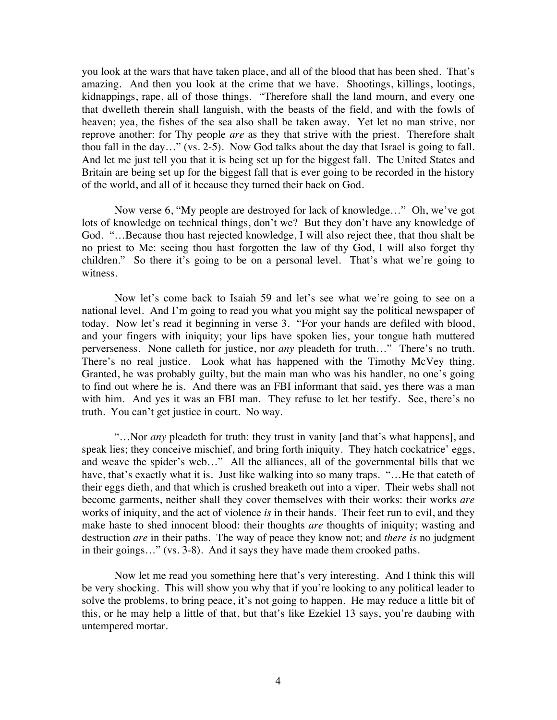you look at the wars that have taken place, and all of the blood that has been shed. That's amazing. And then you look at the crime that we have. Shootings, killings, lootings, kidnappings, rape, all of those things. "Therefore shall the land mourn, and every one that dwelleth therein shall languish, with the beasts of the field, and with the fowls of heaven; yea, the fishes of the sea also shall be taken away. Yet let no man strive, nor reprove another: for Thy people *are* as they that strive with the priest. Therefore shalt thou fall in the day…" (vs. 2-5). Now God talks about the day that Israel is going to fall. And let me just tell you that it is being set up for the biggest fall. The United States and Britain are being set up for the biggest fall that is ever going to be recorded in the history of the world, and all of it because they turned their back on God.

Now verse 6, "My people are destroyed for lack of knowledge…" Oh, we've got lots of knowledge on technical things, don't we? But they don't have any knowledge of God. "…Because thou hast rejected knowledge, I will also reject thee, that thou shalt be no priest to Me: seeing thou hast forgotten the law of thy God, I will also forget thy children." So there it's going to be on a personal level. That's what we're going to witness.

Now let's come back to Isaiah 59 and let's see what we're going to see on a national level. And I'm going to read you what you might say the political newspaper of today. Now let's read it beginning in verse 3. "For your hands are defiled with blood, and your fingers with iniquity; your lips have spoken lies, your tongue hath muttered perverseness. None calleth for justice, nor *any* pleadeth for truth…" There's no truth. There's no real justice. Look what has happened with the Timothy McVey thing. Granted, he was probably guilty, but the main man who was his handler, no one's going to find out where he is. And there was an FBI informant that said, yes there was a man with him. And yes it was an FBI man. They refuse to let her testify. See, there's no truth. You can't get justice in court. No way.

"…Nor *any* pleadeth for truth: they trust in vanity [and that's what happens], and speak lies; they conceive mischief, and bring forth iniquity. They hatch cockatrice' eggs, and weave the spider's web…" All the alliances, all of the governmental bills that we have, that's exactly what it is. Just like walking into so many traps. "...He that eateth of their eggs dieth, and that which is crushed breaketh out into a viper. Their webs shall not become garments, neither shall they cover themselves with their works: their works *are* works of iniquity, and the act of violence *is* in their hands. Their feet run to evil, and they make haste to shed innocent blood: their thoughts *are* thoughts of iniquity; wasting and destruction *are* in their paths. The way of peace they know not; and *there is* no judgment in their goings…" (vs. 3-8). And it says they have made them crooked paths.

Now let me read you something here that's very interesting. And I think this will be very shocking. This will show you why that if you're looking to any political leader to solve the problems, to bring peace, it's not going to happen. He may reduce a little bit of this, or he may help a little of that, but that's like Ezekiel 13 says, you're daubing with untempered mortar.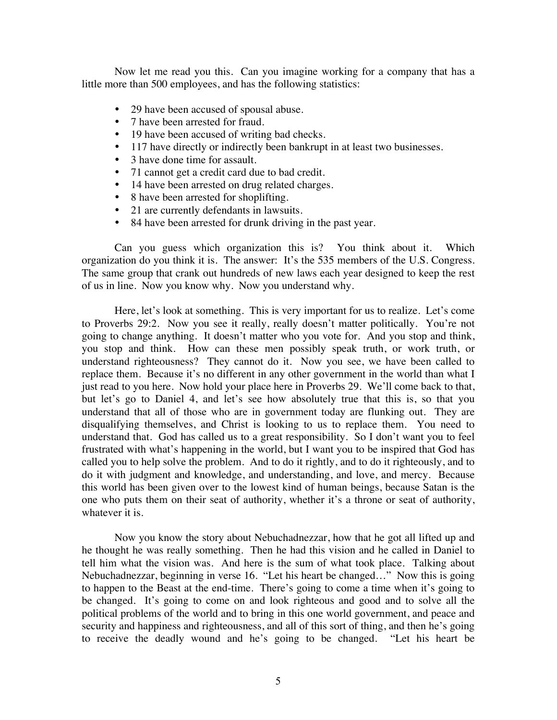Now let me read you this. Can you imagine working for a company that has a little more than 500 employees, and has the following statistics:

- 29 have been accused of spousal abuse.
- 7 have been arrested for fraud.
- 19 have been accused of writing bad checks.
- 117 have directly or indirectly been bankrupt in at least two businesses.
- 3 have done time for assault.
- ! 71 cannot get a credit card due to bad credit.
- 14 have been arrested on drug related charges.
- 8 have been arrested for shoplifting.
- 21 are currently defendants in lawsuits.
- ! 84 have been arrested for drunk driving in the past year.

Can you guess which organization this is? You think about it. Which organization do you think it is. The answer: It's the 535 members of the U.S. Congress. The same group that crank out hundreds of new laws each year designed to keep the rest of us in line. Now you know why. Now you understand why.

Here, let's look at something. This is very important for us to realize. Let's come to Proverbs 29:2. Now you see it really, really doesn't matter politically. You're not going to change anything. It doesn't matter who you vote for. And you stop and think, you stop and think. How can these men possibly speak truth, or work truth, or understand righteousness? They cannot do it. Now you see, we have been called to replace them. Because it's no different in any other government in the world than what I just read to you here. Now hold your place here in Proverbs 29. We'll come back to that, but let's go to Daniel 4, and let's see how absolutely true that this is, so that you understand that all of those who are in government today are flunking out. They are disqualifying themselves, and Christ is looking to us to replace them. You need to understand that. God has called us to a great responsibility. So I don't want you to feel frustrated with what's happening in the world, but I want you to be inspired that God has called you to help solve the problem. And to do it rightly, and to do it righteously, and to do it with judgment and knowledge, and understanding, and love, and mercy. Because this world has been given over to the lowest kind of human beings, because Satan is the one who puts them on their seat of authority, whether it's a throne or seat of authority, whatever it is.

Now you know the story about Nebuchadnezzar, how that he got all lifted up and he thought he was really something. Then he had this vision and he called in Daniel to tell him what the vision was. And here is the sum of what took place. Talking about Nebuchadnezzar, beginning in verse 16. "Let his heart be changed…" Now this is going to happen to the Beast at the end-time. There's going to come a time when it's going to be changed. It's going to come on and look righteous and good and to solve all the political problems of the world and to bring in this one world government, and peace and security and happiness and righteousness, and all of this sort of thing, and then he's going to receive the deadly wound and he's going to be changed. "Let his heart be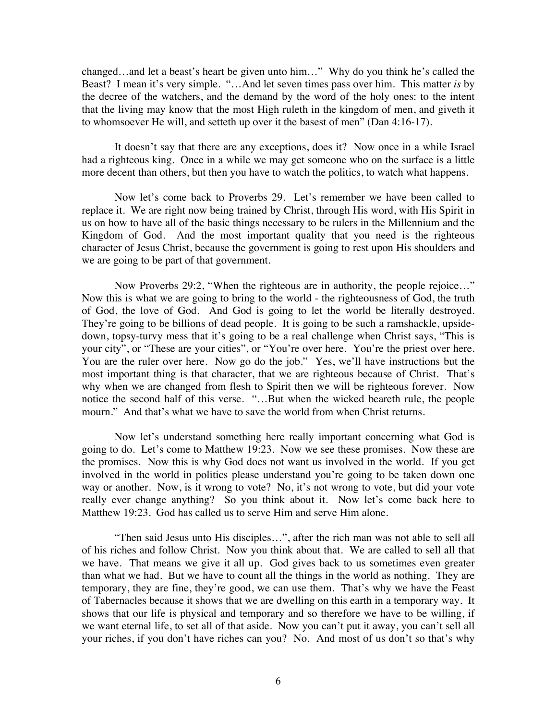changed…and let a beast's heart be given unto him…" Why do you think he's called the Beast? I mean it's very simple. "…And let seven times pass over him. This matter *is* by the decree of the watchers, and the demand by the word of the holy ones: to the intent that the living may know that the most High ruleth in the kingdom of men, and giveth it to whomsoever He will, and setteth up over it the basest of men" (Dan 4:16-17).

It doesn't say that there are any exceptions, does it? Now once in a while Israel had a righteous king. Once in a while we may get someone who on the surface is a little more decent than others, but then you have to watch the politics, to watch what happens.

Now let's come back to Proverbs 29. Let's remember we have been called to replace it. We are right now being trained by Christ, through His word, with His Spirit in us on how to have all of the basic things necessary to be rulers in the Millennium and the Kingdom of God. And the most important quality that you need is the righteous character of Jesus Christ, because the government is going to rest upon His shoulders and we are going to be part of that government.

Now Proverbs 29:2, "When the righteous are in authority, the people rejoice…" Now this is what we are going to bring to the world - the righteousness of God, the truth of God, the love of God. And God is going to let the world be literally destroyed. They're going to be billions of dead people. It is going to be such a ramshackle, upsidedown, topsy-turvy mess that it's going to be a real challenge when Christ says, "This is your city", or "These are your cities", or "You're over here. You're the priest over here. You are the ruler over here. Now go do the job." Yes, we'll have instructions but the most important thing is that character, that we are righteous because of Christ. That's why when we are changed from flesh to Spirit then we will be righteous forever. Now notice the second half of this verse. "…But when the wicked beareth rule, the people mourn." And that's what we have to save the world from when Christ returns.

Now let's understand something here really important concerning what God is going to do. Let's come to Matthew 19:23. Now we see these promises. Now these are the promises. Now this is why God does not want us involved in the world. If you get involved in the world in politics please understand you're going to be taken down one way or another. Now, is it wrong to vote? No, it's not wrong to vote, but did your vote really ever change anything? So you think about it. Now let's come back here to Matthew 19:23. God has called us to serve Him and serve Him alone.

"Then said Jesus unto His disciples…", after the rich man was not able to sell all of his riches and follow Christ. Now you think about that. We are called to sell all that we have. That means we give it all up. God gives back to us sometimes even greater than what we had. But we have to count all the things in the world as nothing. They are temporary, they are fine, they're good, we can use them. That's why we have the Feast of Tabernacles because it shows that we are dwelling on this earth in a temporary way. It shows that our life is physical and temporary and so therefore we have to be willing, if we want eternal life, to set all of that aside. Now you can't put it away, you can't sell all your riches, if you don't have riches can you? No. And most of us don't so that's why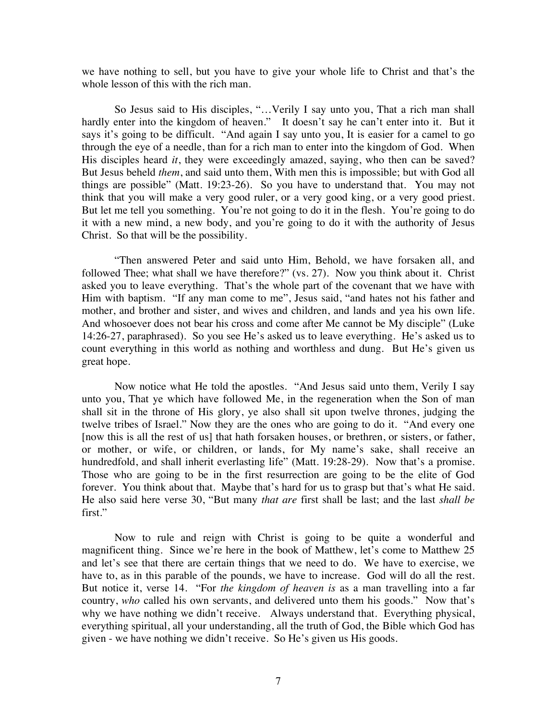we have nothing to sell, but you have to give your whole life to Christ and that's the whole lesson of this with the rich man.

So Jesus said to His disciples, "…Verily I say unto you, That a rich man shall hardly enter into the kingdom of heaven." It doesn't say he can't enter into it. But it says it's going to be difficult. "And again I say unto you, It is easier for a camel to go through the eye of a needle, than for a rich man to enter into the kingdom of God. When His disciples heard *it*, they were exceedingly amazed, saying, who then can be saved? But Jesus beheld *them*, and said unto them, With men this is impossible; but with God all things are possible" (Matt. 19:23-26). So you have to understand that. You may not think that you will make a very good ruler, or a very good king, or a very good priest. But let me tell you something. You're not going to do it in the flesh. You're going to do it with a new mind, a new body, and you're going to do it with the authority of Jesus Christ. So that will be the possibility.

"Then answered Peter and said unto Him, Behold, we have forsaken all, and followed Thee; what shall we have therefore?" (vs. 27). Now you think about it. Christ asked you to leave everything. That's the whole part of the covenant that we have with Him with baptism. "If any man come to me", Jesus said, "and hates not his father and mother, and brother and sister, and wives and children, and lands and yea his own life. And whosoever does not bear his cross and come after Me cannot be My disciple" (Luke 14:26-27, paraphrased). So you see He's asked us to leave everything. He's asked us to count everything in this world as nothing and worthless and dung. But He's given us great hope.

Now notice what He told the apostles. "And Jesus said unto them, Verily I say unto you, That ye which have followed Me, in the regeneration when the Son of man shall sit in the throne of His glory, ye also shall sit upon twelve thrones, judging the twelve tribes of Israel." Now they are the ones who are going to do it. "And every one [now this is all the rest of us] that hath forsaken houses, or brethren, or sisters, or father, or mother, or wife, or children, or lands, for My name's sake, shall receive an hundredfold, and shall inherit everlasting life" (Matt. 19:28-29). Now that's a promise. Those who are going to be in the first resurrection are going to be the elite of God forever. You think about that. Maybe that's hard for us to grasp but that's what He said. He also said here verse 30, "But many *that are* first shall be last; and the last *shall be*  first."

Now to rule and reign with Christ is going to be quite a wonderful and magnificent thing. Since we're here in the book of Matthew, let's come to Matthew 25 and let's see that there are certain things that we need to do. We have to exercise, we have to, as in this parable of the pounds, we have to increase. God will do all the rest. But notice it, verse 14. "For *the kingdom of heaven is* as a man travelling into a far country, *who* called his own servants, and delivered unto them his goods." Now that's why we have nothing we didn't receive. Always understand that. Everything physical, everything spiritual, all your understanding, all the truth of God, the Bible which God has given - we have nothing we didn't receive. So He's given us His goods.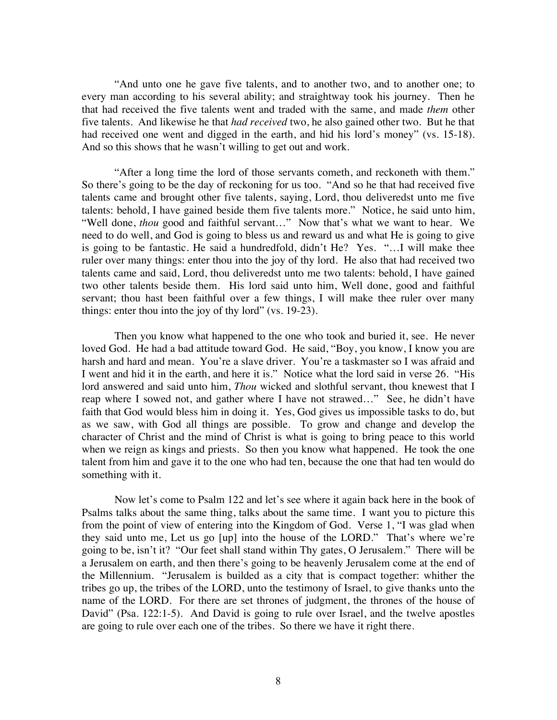"And unto one he gave five talents, and to another two, and to another one; to every man according to his several ability; and straightway took his journey. Then he that had received the five talents went and traded with the same, and made *them* other five talents. And likewise he that *had received* two, he also gained other two. But he that had received one went and digged in the earth, and hid his lord's money" (vs. 15-18). And so this shows that he wasn't willing to get out and work.

"After a long time the lord of those servants cometh, and reckoneth with them." So there's going to be the day of reckoning for us too. "And so he that had received five talents came and brought other five talents, saying, Lord, thou deliveredst unto me five talents: behold, I have gained beside them five talents more." Notice, he said unto him, "Well done, *thou* good and faithful servant…" Now that's what we want to hear. We need to do well, and God is going to bless us and reward us and what He is going to give is going to be fantastic. He said a hundredfold, didn't He? Yes. "…I will make thee ruler over many things: enter thou into the joy of thy lord. He also that had received two talents came and said, Lord, thou deliveredst unto me two talents: behold, I have gained two other talents beside them. His lord said unto him, Well done, good and faithful servant; thou hast been faithful over a few things, I will make thee ruler over many things: enter thou into the joy of thy lord" (vs. 19-23).

Then you know what happened to the one who took and buried it, see. He never loved God. He had a bad attitude toward God. He said, "Boy, you know, I know you are harsh and hard and mean. You're a slave driver. You're a taskmaster so I was afraid and I went and hid it in the earth, and here it is." Notice what the lord said in verse 26. "His lord answered and said unto him, *Thou* wicked and slothful servant, thou knewest that I reap where I sowed not, and gather where I have not strawed…" See, he didn't have faith that God would bless him in doing it. Yes, God gives us impossible tasks to do, but as we saw, with God all things are possible. To grow and change and develop the character of Christ and the mind of Christ is what is going to bring peace to this world when we reign as kings and priests. So then you know what happened. He took the one talent from him and gave it to the one who had ten, because the one that had ten would do something with it.

Now let's come to Psalm 122 and let's see where it again back here in the book of Psalms talks about the same thing, talks about the same time. I want you to picture this from the point of view of entering into the Kingdom of God. Verse 1, "I was glad when they said unto me, Let us go [up] into the house of the LORD." That's where we're going to be, isn't it? "Our feet shall stand within Thy gates, O Jerusalem." There will be a Jerusalem on earth, and then there's going to be heavenly Jerusalem come at the end of the Millennium. "Jerusalem is builded as a city that is compact together: whither the tribes go up, the tribes of the LORD, unto the testimony of Israel, to give thanks unto the name of the LORD. For there are set thrones of judgment, the thrones of the house of David" (Psa. 122:1-5). And David is going to rule over Israel, and the twelve apostles are going to rule over each one of the tribes. So there we have it right there.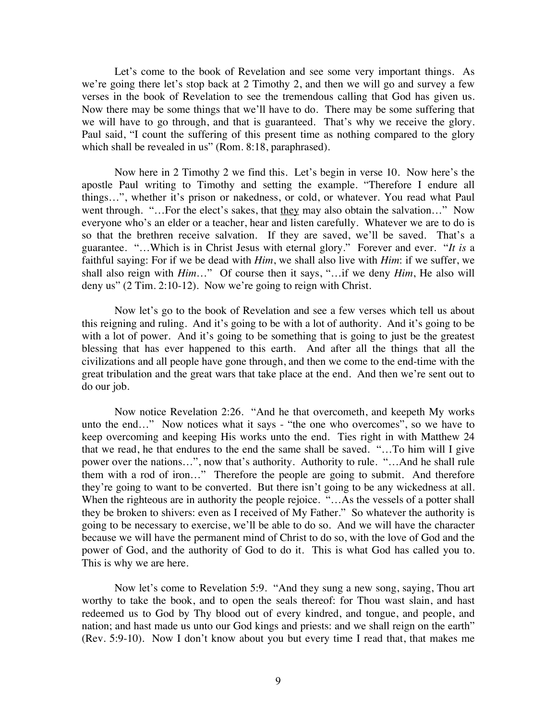Let's come to the book of Revelation and see some very important things. As we're going there let's stop back at 2 Timothy 2, and then we will go and survey a few verses in the book of Revelation to see the tremendous calling that God has given us. Now there may be some things that we'll have to do. There may be some suffering that we will have to go through, and that is guaranteed. That's why we receive the glory. Paul said, "I count the suffering of this present time as nothing compared to the glory which shall be revealed in us" (Rom. 8:18, paraphrased).

Now here in 2 Timothy 2 we find this. Let's begin in verse 10. Now here's the apostle Paul writing to Timothy and setting the example. "Therefore I endure all things…", whether it's prison or nakedness, or cold, or whatever. You read what Paul went through. "...For the elect's sakes, that they may also obtain the salvation..." Now everyone who's an elder or a teacher, hear and listen carefully. Whatever we are to do is so that the brethren receive salvation. If they are saved, we'll be saved. That's a guarantee. "…Which is in Christ Jesus with eternal glory." Forever and ever. "*It is* a faithful saying: For if we be dead with *Him*, we shall also live with *Him*: if we suffer, we shall also reign with *Him*…" Of course then it says, "…if we deny *Him*, He also will deny us" (2 Tim. 2:10-12). Now we're going to reign with Christ.

Now let's go to the book of Revelation and see a few verses which tell us about this reigning and ruling. And it's going to be with a lot of authority. And it's going to be with a lot of power. And it's going to be something that is going to just be the greatest blessing that has ever happened to this earth. And after all the things that all the civilizations and all people have gone through, and then we come to the end-time with the great tribulation and the great wars that take place at the end. And then we're sent out to do our job.

Now notice Revelation 2:26. "And he that overcometh, and keepeth My works unto the end…" Now notices what it says - "the one who overcomes", so we have to keep overcoming and keeping His works unto the end. Ties right in with Matthew 24 that we read, he that endures to the end the same shall be saved. "…To him will I give power over the nations…", now that's authority. Authority to rule. "…And he shall rule them with a rod of iron…" Therefore the people are going to submit. And therefore they're going to want to be converted. But there isn't going to be any wickedness at all. When the righteous are in authority the people rejoice. "...As the vessels of a potter shall they be broken to shivers: even as I received of My Father." So whatever the authority is going to be necessary to exercise, we'll be able to do so. And we will have the character because we will have the permanent mind of Christ to do so, with the love of God and the power of God, and the authority of God to do it. This is what God has called you to. This is why we are here.

Now let's come to Revelation 5:9. "And they sung a new song, saying, Thou art worthy to take the book, and to open the seals thereof: for Thou wast slain, and hast redeemed us to God by Thy blood out of every kindred, and tongue, and people, and nation; and hast made us unto our God kings and priests: and we shall reign on the earth" (Rev. 5:9-10). Now I don't know about you but every time I read that, that makes me